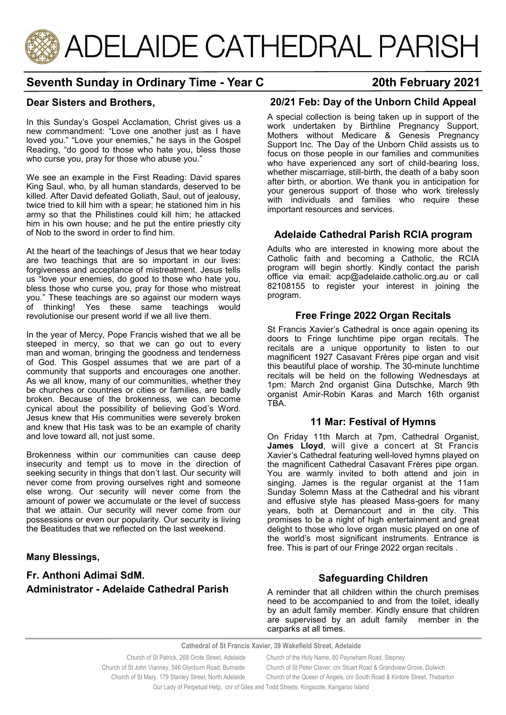

# **Seventh Sunday in Ordinary Time - Year C 20th February 2021**

# **Dear Sisters and Brothers,**

In this Sunday's Gospel Acclamation, Christ gives us a new commandment: "Love one another just as I have loved you." "Love your enemies," he says in the Gospel Reading, "do good to those who hate you, bless those who curse you, pray for those who abuse you."

We see an example in the First Reading: David spares King Saul, who, by all human standards, deserved to be killed. After David defeated Goliath, Saul, out of jealousy, twice tried to kill him with a spear; he stationed him in his army so that the Philistines could kill him; he attacked him in his own house; and he put the entire priestly city of Nob to the sword in order to find him.

At the heart of the teachings of Jesus that we hear today are two teachings that are so important in our lives: forgiveness and acceptance of mistreatment. Jesus tells us "love your enemies, do good to those who hate you, bless those who curse you, pray for those who mistreat you." These teachings are so against our modern ways of thinking! Yes these same teachings would revolutionise our present world if we all live them.

In the year of Mercy, Pope Francis wished that we all be steeped in mercy, so that we can go out to every man and woman, bringing the goodness and tenderness of God. This Gospel assumes that we are part of a community that supports and encourages one another. As we all know, many of our communities, whether they be churches or countries or cities or families, are badly broken. Because of the brokenness, we can become cynical about the possibility of believing God's Word. Jesus knew that His communities were severely broken and knew that His task was to be an example of charity and love toward all, not just some.

Brokenness within our communities can cause deep insecurity and tempt us to move in the direction of seeking security in things that don't last. Our security will never come from proving ourselves right and someone else wrong. Our security will never come from the amount of power we accumulate or the level of success that we attain. Our security will never come from our possessions or even our popularity. Our security is living the Beatitudes that we reflected on the last weekend.

## **Many Blessings,**

# **Fr. Anthoni Adimai SdM. Administrator - Adelaide Cathedral Parish**

# **20/21 Feb: Day of the Unborn Child Appeal**

A special collection is being taken up in support of the work undertaken by Birthline Pregnancy Support, Mothers without Medicare & Genesis Pregnancy Support Inc. The Day of the Unborn Child assists us to focus on those people in our families and communities who have experienced any sort of child-bearing loss, whether miscarriage, still-birth, the death of a baby soon after birth, or abortion. We thank you in anticipation for your generous support of those who work tirelessly with individuals and families who require these important resources and services.

# **Adelaide Cathedral Parish RCIA program**

Adults who are interested in knowing more about the Catholic faith and becoming a Catholic, the RCIA program will begin shortly. Kindly contact the parish office via email: acp@adelaide.catholic.org.au or call 82108155 to register your interest in joining the program.

# **Free Fringe 2022 Organ Recitals**

St Francis Xavier's Cathedral is once again opening its doors to Fringe lunchtime pipe organ recitals. The recitals are a unique opportunity to listen to our magnificent 1927 Casavant Frères pipe organ and visit this beautiful place of worship. The 30-minute lunchtime recitals will be held on the following Wednesdays at 1pm: March 2nd organist Gina Dutschke, March 9th organist Amir-Robin Karas and March 16th organist TBA.

## **11 Mar: Festival of Hymns**

On Friday 11th March at 7pm, Cathedral Organist, **James Lloyd**, will give a concert at St Francis Xavier's Cathedral featuring well-loved hymns played on the magnificent Cathedral Casavant Frères pipe organ. You are warmly invited to both attend and join in singing. James is the regular organist at the 11am Sunday Solemn Mass at the Cathedral and his vibrant and effusive style has pleased Mass-goers for many years, both at Dernancourt and in the city. This promises to be a night of high entertainment and great delight to those who love organ music played on one of the world's most significant instruments. Entrance is free. This is part of our Fringe 2022 organ recitals .

## **Safeguarding Children**

A reminder that all children within the church premises need to be accompanied to and from the toilet, ideally by an adult family member. Kindly ensure that children are supervised by an adult family member in the carparks at all times.

**Cathedral of St Francis Xavier, 39 Wakefield Street, Adelaide**

| Church of St Patrick, 268 Grote Street, Adelaide                                | Church of the Holy Name, 80 Payneham Road, Stepney                        |
|---------------------------------------------------------------------------------|---------------------------------------------------------------------------|
| Church of St John Vianney, 546 Glynburn Road, Burnside                          | Church of St Peter Claver, cnr Stuart Road & Grandview Grove, Dulwich     |
| Church of St Mary, 179 Stanley Street, North Adelaide                           | Church of the Queen of Angels, cnr South Road & Kintore Street, Thebarton |
| Ourlady of Demotiol Help caref Cilco and Todd Ctroote Kingsoote Kengeroo Joland |                                                                           |

Our Lady of Perpetual Help, cnr of Giles and Todd Streets, Kingscote, Kangaroo Island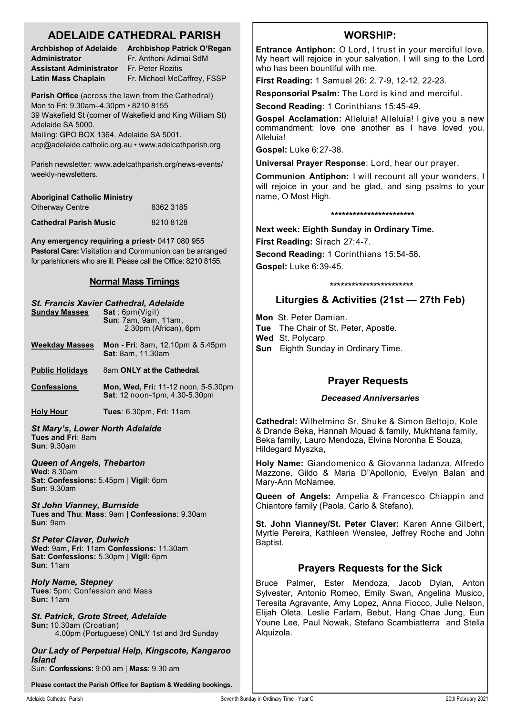# **ADELAIDE CATHEDRAL PARISH**

| <b>Archbishop of Adelaide</b> |  |  |
|-------------------------------|--|--|
| Administrator                 |  |  |
| Assistant Administrator       |  |  |
| Latin Mass Chaplain           |  |  |

**Archbishop Patrick O'Regan Administrator** Fr. Anthoni Adimai SdM **Assistant Administrator** Fr. Peter Rozitis **Latin Mass Chaplain** Fr. Michael McCaffrey, FSSP

**Parish Office** (across the lawn from the Cathedral) Mon to Fri: 9.30am–4.30pm • 8210 8155 39 Wakefield St (corner of Wakefield and King William St) Adelaide SA 5000. Mailing: GPO BOX 1364, Adelaide SA 5001.

acp@adelaide.catholic.org.au • www.adelcathparish.org

Parish newsletter: www.adelcathparish.org/news-events/ weekly-newsletters.

| <b>Aboriginal Catholic Ministry</b> |           |
|-------------------------------------|-----------|
| <b>Otherway Centre</b>              | 8362 3185 |
| <b>Cathedral Parish Music</b>       | 82108128  |

**Any emergency requiring a priest**• 0417 080 955 **Pastoral Care:** Visitation and Communion can be arranged for parishioners who are ill. Please call the Office: 8210 8155.

## **Normal Mass Timings**

#### *St. Francis Xavier Cathedral, Adelaide* **Sunday Masses Sun**: 7am, 9am, 11am, 2.30pm (African), 6pm **Weekday Masses Mon - Fri**: 8am, 12.10pm & 5.45pm **Sat**: 8am, 11.30am

**Public Holidays** 8am ONLY at the Cathedral.

**Confessions Mon, Wed, Fri:** 11-12 noon, 5-5.30pm **Sat**: 12 noon-1pm, 4.30-5.30pm

**Holy Hour Tues**: 6.30pm, **Fri**: 11am

*St Mary's, Lower North Adelaide* **Tues and Fri**: 8am **Sun**: 9.30am

*Queen of Angels, Thebarton* **Wed:** 8.30am **Sat: Confessions:** 5.45pm | **Vigil**: 6pm **Sun**: 9.30am

*St John Vianney, Burnside* **Tues and Thu**: **Mass**: 9am | **Confessions**: 9.30am **Sun**: 9am

*St Peter Claver, Dulwich* **Wed**: 9am, **Fri**: 11am **Confessions:** 11.30am **Sat: Confessions:** 5.30pm | **Vigil:** 6pm **Sun**: 11am

*Holy Name, Stepney* **Tues**: 5pm: Confession and Mass **Sun:** 11am

*St. Patrick, Grote Street, Adelaide* **Sun:** 10.30am (Croatian) 4.00pm (Portuguese) ONLY 1st and 3rd Sunday

*Our Lady of Perpetual Help, Kingscote, Kangaroo Island*

Sun: **Confessions:** 9:00 am | **Mass**: 9.30 am

**Please contact the Parish Office for Baptism & Wedding bookings.**

# **WORSHIP:**

**Entrance Antiphon:** O Lord, I trust in your merciful love. My heart will rejoice in your salvation. I will sing to the Lord who has been bountiful with me.

**First Reading:** 1 Samuel 26: 2. 7-9, 12-12, 22-23.

**Responsorial Psalm:** The Lord is kind and merciful.

**Second Reading**: 1 Corinthians 15:45-49.

**Gospel Acclamation:** Alleluia! Alleluia! I give you a new commandment: love one another as I have loved you. Alleluia!

**Gospel:** Luke 6:27-38.

**Universal Prayer Response**: Lord, hear our prayer.

**Communion Antiphon:** I will recount all your wonders, I will rejoice in your and be glad, and sing psalms to your name, O Most High.

#### **\*\*\*\*\*\*\*\*\*\*\*\*\*\*\*\*\*\*\*\*\*\*\***

**Next week: Eighth Sunday in Ordinary Time.** 

**First Reading:** Sirach 27:4-7.

**Second Reading:** 1 Corinthians 15:54-58. **Gospel:** Luke 6:39-45.

#### **\*\*\*\*\*\*\*\*\*\*\*\*\*\*\*\*\*\*\*\*\*\*\***

# **Liturgies & Activities (21st — 27th Feb)**

**Mon** St. Peter Damian.

**Tue** The Chair of St. Peter, Apostle.

**Wed** St. Polycarp

**Sun** Eighth Sunday in Ordinary Time.

# **Prayer Requests**

#### *Deceased Anniversaries*

**Cathedral:** Wilhelmino Sr, Shuke & Simon Beltojo, Kole & Drande Beka, Hannah Mouad & family, Mukhtana family, Beka family, Lauro Mendoza, Elvina Noronha E Souza, Hildegard Myszka,

**Holy Name:** Giandomenico & Giovanna Iadanza, Alfredo Mazzone, Gildo & Maria D"Apollonio, Evelyn Balan and Mary-Ann McNamee.

**Queen of Angels:** Ampelia & Francesco Chiappin and Chiantore family (Paola, Carlo & Stefano).

**St. John Vianney/St. Peter Claver:** Karen Anne Gilbert, Myrtle Pereira, Kathleen Wenslee, Jeffrey Roche and John Baptist.

# **Prayers Requests for the Sick**

Bruce Palmer, Ester Mendoza, Jacob Dylan, Anton Sylvester, Antonio Romeo, Emily Swan, Angelina Musico, Teresita Agravante, Amy Lopez, Anna Fiocco, Julie Nelson, Elijah Oleta, Leslie Farlam, Bebut, Hang Chae Jung, Eun Youne Lee, Paul Nowak, Stefano Scambiatterra and Stella Alquizola.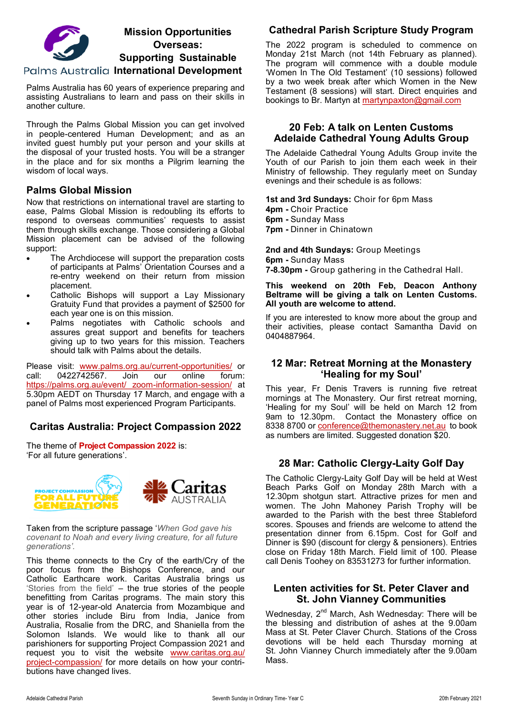

# **Mission Opportunities Overseas: Supporting Sustainable**

**Palms Australia International Development** 

Palms Australia has 60 years of experience preparing and assisting Australians to learn and pass on their skills in another culture.

Through the Palms Global Mission you can get involved in people-centered Human Development; and as an invited guest humbly put your person and your skills at the disposal of your trusted hosts. You will be a stranger in the place and for six months a Pilgrim learning the wisdom of local ways.

### **Palms Global Mission**

Now that restrictions on international travel are starting to ease, Palms Global Mission is redoubling its efforts to respond to overseas communities' requests to assist them through skills exchange. Those considering a Global Mission placement can be advised of the following support:

- The Archdiocese will support the preparation costs of participants at Palms' Orientation Courses and a re-entry weekend on their return from mission placement.
- Catholic Bishops will support a Lay Missionary Gratuity Fund that provides a payment of \$2500 for each year one is on this mission.
- Palms negotiates with Catholic schools and assures great support and benefits for teachers giving up to two years for this mission. Teachers should talk with Palms about the details.

Please visit: [www.palms.org.au/current](https://aus01.safelinks.protection.outlook.com/?url=http%3A%2F%2Fwww.palms.org.au%2Fcurrent-opportunities%2F&data=04%7C01%7CMBennier%40adelaide.catholic.org.au%7Cf7245266b9eb4e44bec308d9ea9e0198%7Cfe51d108d61d407cbcaaaab5af82a7ac%7C1%7C0%7C637798786612003053%)-opportunities/ or call: 0422742567. Join our online forum: https://palms.org.au/event/ zoom-information-session/ at 5.30pm AEDT on Thursday 17 March, and engage with a panel of Palms most experienced Program Participants.

# **Caritas Australia: Project Compassion 2022**

The theme of **Project Compassion 2022** is: 'For all future generations'.



Taken from the scripture passage '*When God gave his covenant to Noah and every living creature, for all future generations'.*

This theme connects to the Cry of the earth/Cry of the poor focus from the Bishops Conference, and our Catholic Earthcare work. Caritas Australia brings us 'Stories from the field' – the true stories of the people benefitting from Caritas programs. The main story this year is of 12-year-old Anatercia from Mozambique and other stories include Biru from India, Janice from Australia, Rosalie from the DRC, and Shaniella from the Solomon Islands. We would like to thank all our parishioners for supporting Project Compassion 2021 and request you to visit the website [www.caritas.org.au/](http://www.caritas.org.au/project-compassion/) project-[compassion/](http://www.caritas.org.au/project-compassion/) for more details on how your contributions have changed lives.

# **Cathedral Parish Scripture Study Program**

The 2022 program is scheduled to commence on Monday 21st March (not 14th February as planned). The program will commence with a double module 'Women In The Old Testament' (10 sessions) followed by a two week break after which Women in the New Testament (8 sessions) will start. Direct enquiries and bookings to Br. Martyn at [martynpaxton@gmail.com](mailto:martynpaxton@gmail.com)

### **20 Feb: A talk on Lenten Customs Adelaide Cathedral Young Adults Group**

The Adelaide Cathedral Young Adults Group invite the Youth of our Parish to join them each week in their Ministry of fellowship. They regularly meet on Sunday evenings and their schedule is as follows:

**1st and 3rd Sundays:** Choir for 6pm Mass **4pm -** Choir Practice **6pm -** Sunday Mass **7pm -** Dinner in Chinatown

**2nd and 4th Sundays:** Group Meetings **6pm -** Sunday Mass **7-8.30pm -** Group gathering in the Cathedral Hall.

#### **This weekend on 20th Feb, Deacon Anthony Beltrame will be giving a talk on Lenten Customs. All youth are welcome to attend.**

If you are interested to know more about the group and their activities, please contact Samantha David on 0404887964.

## **12 Mar: Retreat Morning at the Monastery 'Healing for my Soul'**

This year, Fr Denis Travers is running five retreat mornings at The Monastery. Our first retreat morning, 'Healing for my Soul' will be held on March 12 from 9am to 12.30pm. Contact the Monastery office on 8338 8700 or [conference@themonastery.net.au](mailto:conference@themonastery.net.au) to book as numbers are limited. Suggested donation \$20.

## **28 Mar: Catholic Clergy-Laity Golf Day**

The Catholic Clergy-Laity Golf Day will be held at West Beach Parks Golf on Monday 28th March with a 12.30pm shotgun start. Attractive prizes for men and women. The John Mahoney Parish Trophy will be awarded to the Parish with the best three Stableford scores. Spouses and friends are welcome to attend the presentation dinner from 6.15pm. Cost for Golf and Dinner is \$90 (discount for clergy & pensioners). Entries close on Friday 18th March. Field limit of 100. Please call Denis Toohey on 83531273 for further information.

### **Lenten activities for St. Peter Claver and St. John Vianney Communities**

Wednesday, 2<sup>nd</sup> March, Ash Wednesday: There will be the blessing and distribution of ashes at the 9.00am Mass at St. Peter Claver Church. Stations of the Cross devotions will be held each Thursday morning at St. John Vianney Church immediately after the 9.00am Mass.